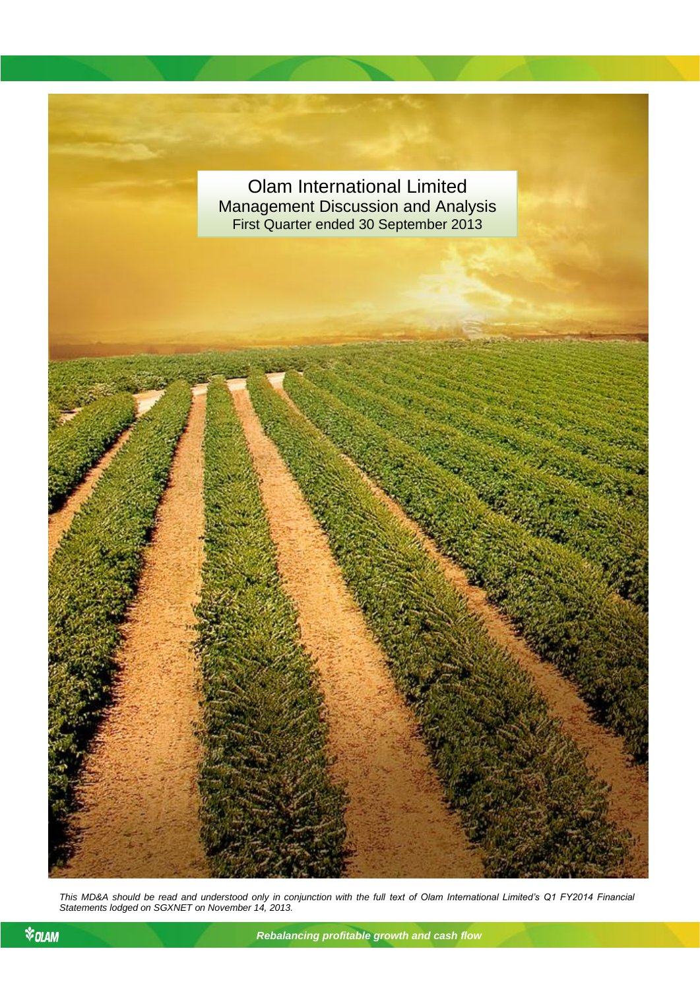

*This MD&A should be read and understood only in conjunction with the full text of Olam International Limited's Q1 FY2014 Financial Statements lodged on SGXNET on November 14, 2013.*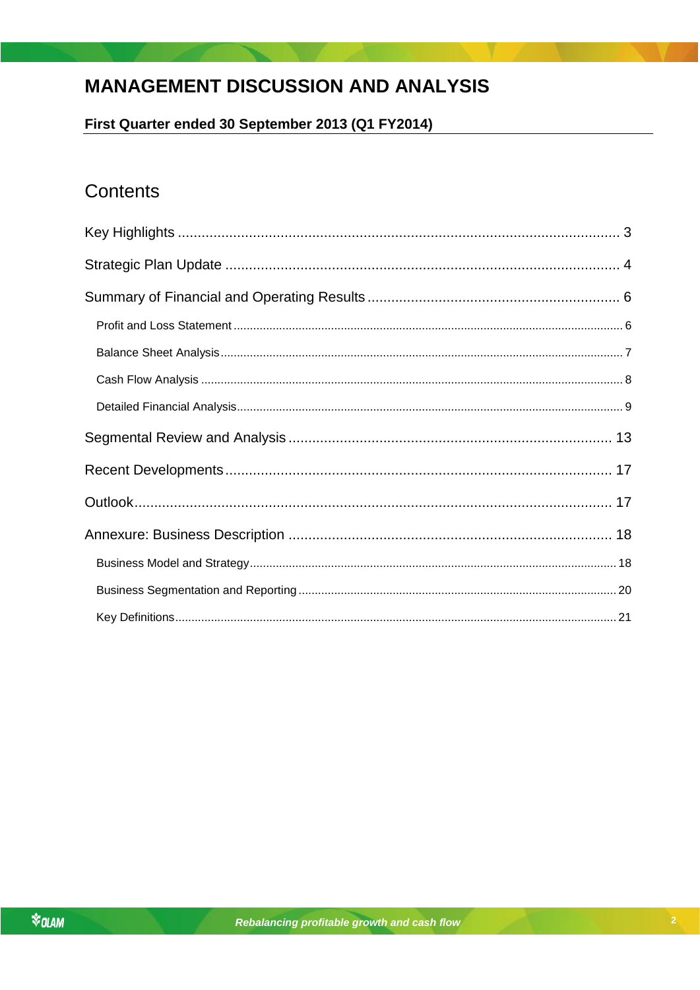# **MANAGEMENT DISCUSSION AND ANALYSIS**

First Quarter ended 30 September 2013 (Q1 FY2014)

# Contents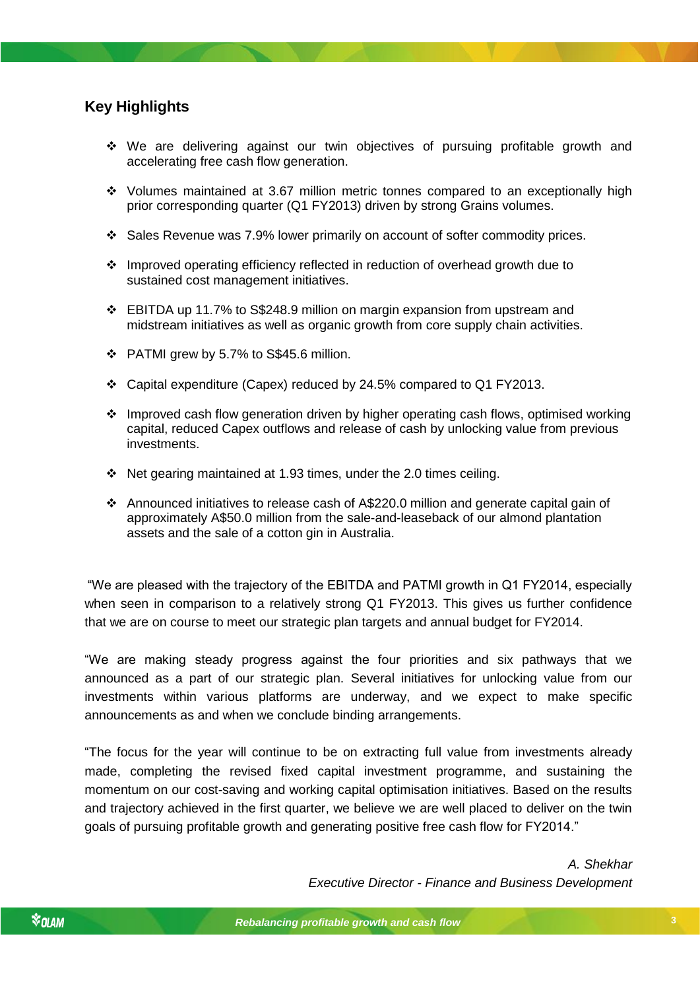# <span id="page-2-0"></span>**Key Highlights**

- We are delivering against our twin objectives of pursuing profitable growth and accelerating free cash flow generation.
- Volumes maintained at 3.67 million metric tonnes compared to an exceptionally high prior corresponding quarter (Q1 FY2013) driven by strong Grains volumes.
- $\div$  Sales Revenue was 7.9% lower primarily on account of softer commodity prices.
- Improved operating efficiency reflected in reduction of overhead growth due to sustained cost management initiatives.
- $\div$  EBITDA up 11.7% to S\$248.9 million on margin expansion from upstream and midstream initiatives as well as organic growth from core supply chain activities.
- PATMI grew by 5.7% to S\$45.6 million.
- Capital expenditure (Capex) reduced by 24.5% compared to Q1 FY2013.
- $\div$  Improved cash flow generation driven by higher operating cash flows, optimised working capital, reduced Capex outflows and release of cash by unlocking value from previous investments.
- Net gearing maintained at 1.93 times, under the 2.0 times ceiling.
- Announced initiatives to release cash of A\$220.0 million and generate capital gain of approximately A\$50.0 million from the sale-and-leaseback of our almond plantation assets and the sale of a cotton gin in Australia.

that we are on course to meet our strategic plan targets and annual budget for FY2014. "We are pleased with the trajectory of the EBITDA and PATMI growth in Q1 FY2014, especially when seen in comparison to a relatively strong Q1 FY2013. This gives us further confidence

"We are making steady progress against the four priorities and six pathways that we announced as a part of our strategic plan. Several initiatives for unlocking value from our investments within various platforms are underway, and we expect to make specific announcements as and when we conclude binding arrangements.

"The focus for the year will continue to be on extracting full value from investments already made, completing the revised fixed capital investment programme, and sustaining the momentum on our cost-saving and working capital optimisation initiatives. Based on the results and trajectory achieved in the first quarter, we believe we are well placed to deliver on the twin goals of pursuing profitable growth and generating positive free cash flow for FY2014."

> *A. Shekhar Executive Director - Finance and Business Development*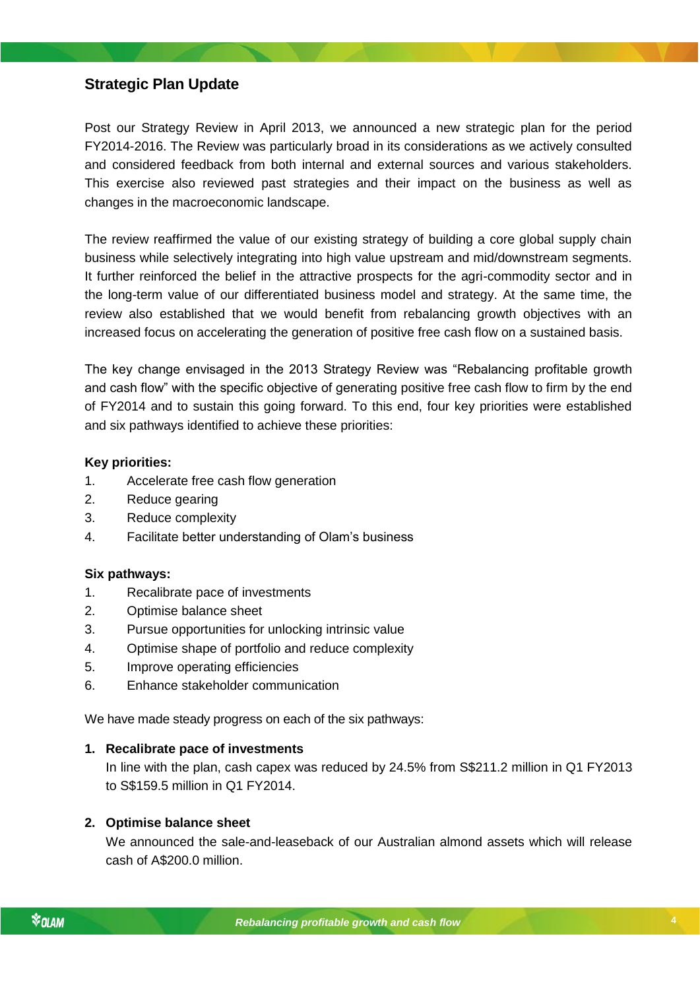# <span id="page-3-0"></span>**Strategic Plan Update**

Post our Strategy Review in April 2013, we announced a new strategic plan for the period FY2014-2016. The Review was particularly broad in its considerations as we actively consulted and considered feedback from both internal and external sources and various stakeholders. This exercise also reviewed past strategies and their impact on the business as well as changes in the macroeconomic landscape.

The review reaffirmed the value of our existing strategy of building a core global supply chain business while selectively integrating into high value upstream and mid/downstream segments. It further reinforced the belief in the attractive prospects for the agri-commodity sector and in the long-term value of our differentiated business model and strategy. At the same time, the review also established that we would benefit from rebalancing growth objectives with an increased focus on accelerating the generation of positive free cash flow on a sustained basis.

The key change envisaged in the 2013 Strategy Review was "Rebalancing profitable growth and cash flow" with the specific objective of generating positive free cash flow to firm by the end of FY2014 and to sustain this going forward. To this end, four key priorities were established and six pathways identified to achieve these priorities:

# **Key priorities:**

- 1. Accelerate free cash flow generation
- 2. Reduce gearing
- 3. Reduce complexity
- 4. Facilitate better understanding of Olam's business

# **Six pathways:**

- 1. Recalibrate pace of investments
- 2. Optimise balance sheet
- *Rebalancing profitable growth and cash flow* 3. Pursue opportunities for unlocking intrinsic value
- 4. Optimise shape of portfolio and reduce complexity
- 5. Improve operating efficiencies
- 6. Enhance stakeholder communication

We have made steady progress on each of the six pathways:

# **1. Recalibrate pace of investments**

In line with the plan, cash capex was reduced by 24.5% from S\$211.2 million in Q1 FY2013 to S\$159.5 million in Q1 FY2014.

# **2. Optimise balance sheet**

We announced the sale-and-leaseback of our Australian almond assets which will release cash of A\$200.0 million.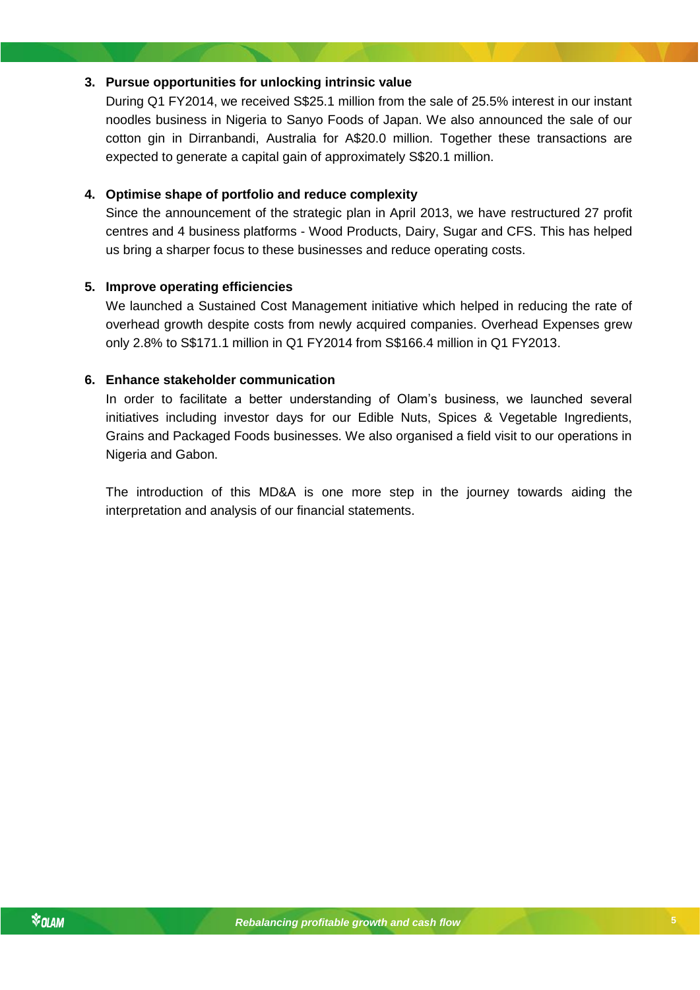# **3. Pursue opportunities for unlocking intrinsic value**

During Q1 FY2014, we received S\$25.1 million from the sale of 25.5% interest in our instant noodles business in Nigeria to Sanyo Foods of Japan. We also announced the sale of our cotton gin in Dirranbandi, Australia for A\$20.0 million. Together these transactions are expected to generate a capital gain of approximately S\$20.1 million.

## **4. Optimise shape of portfolio and reduce complexity**

Since the announcement of the strategic plan in April 2013, we have restructured 27 profit centres and 4 business platforms - Wood Products, Dairy, Sugar and CFS. This has helped us bring a sharper focus to these businesses and reduce operating costs.

## **5. Improve operating efficiencies**

We launched a Sustained Cost Management initiative which helped in reducing the rate of overhead growth despite costs from newly acquired companies. Overhead Expenses grew only 2.8% to S\$171.1 million in Q1 FY2014 from S\$166.4 million in Q1 FY2013.

## **6. Enhance stakeholder communication**

In order to facilitate a better understanding of Olam's business, we launched several initiatives including investor days for our Edible Nuts, Spices & Vegetable Ingredients, Grains and Packaged Foods businesses. We also organised a field visit to our operations in Nigeria and Gabon.

The introduction of this MD&A is one more step in the journey towards aiding the interpretation and analysis of our financial statements.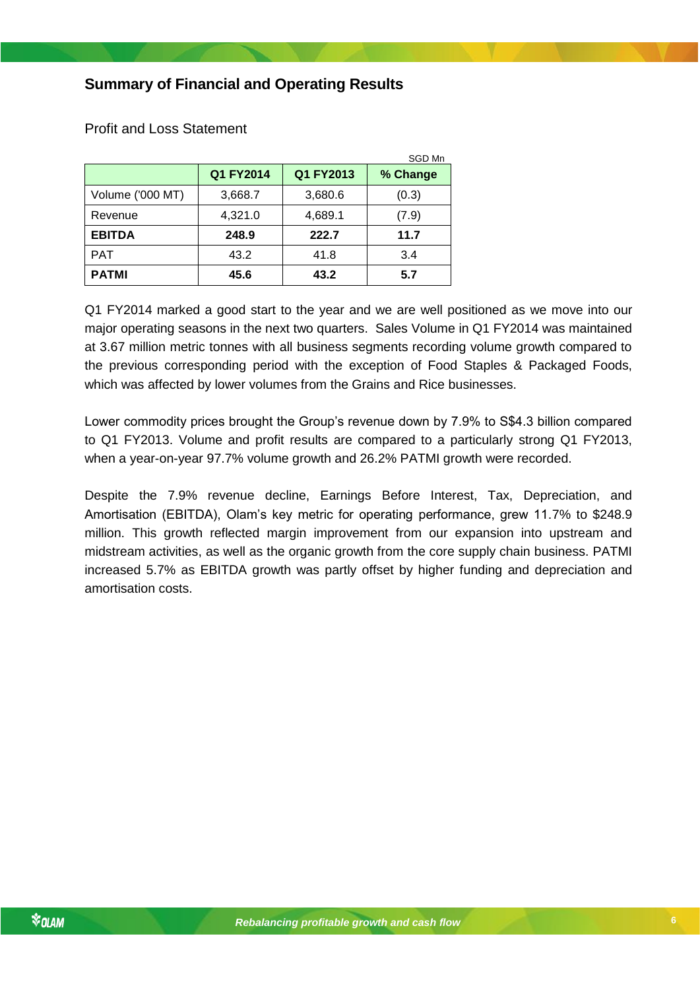# <span id="page-5-0"></span>**Summary of Financial and Operating Results**

|                  |           |           | SGD Mn   |
|------------------|-----------|-----------|----------|
|                  | Q1 FY2014 | Q1 FY2013 | % Change |
| Volume ('000 MT) | 3,668.7   | 3,680.6   | (0.3)    |
| Revenue          | 4,321.0   | 4,689.1   | (7.9)    |
| <b>EBITDA</b>    | 248.9     | 222.7     | 11.7     |
| <b>PAT</b>       | 43.2      | 41.8      | 3.4      |
| <b>PATMI</b>     | 45.6      | 43.2      | 5.7      |

<span id="page-5-1"></span>Profit and Loss Statement

Q1 FY2014 marked a good start to the year and we are well positioned as we move into our major operating seasons in the next two quarters. Sales Volume in Q1 FY2014 was maintained at 3.67 million metric tonnes with all business segments recording volume growth compared to the previous corresponding period with the exception of Food Staples & Packaged Foods, which was affected by lower volumes from the Grains and Rice businesses.

Lower commodity prices brought the Group's revenue down by 7.9% to S\$4.3 billion compared to Q1 FY2013. Volume and profit results are compared to a particularly strong Q1 FY2013, when a year-on-year 97.7% volume growth and 26.2% PATMI growth were recorded.

Despite the 7.9% revenue decline, Earnings Before Interest, Tax, Depreciation, and Amortisation (EBITDA), Olam's key metric for operating performance, grew 11.7% to \$248.9 million. This growth reflected margin improvement from our expansion into upstream and midstream activities, as well as the organic growth from the core supply chain business. PATMI increased 5.7% as EBITDA growth was partly offset by higher funding and depreciation and amortisation costs.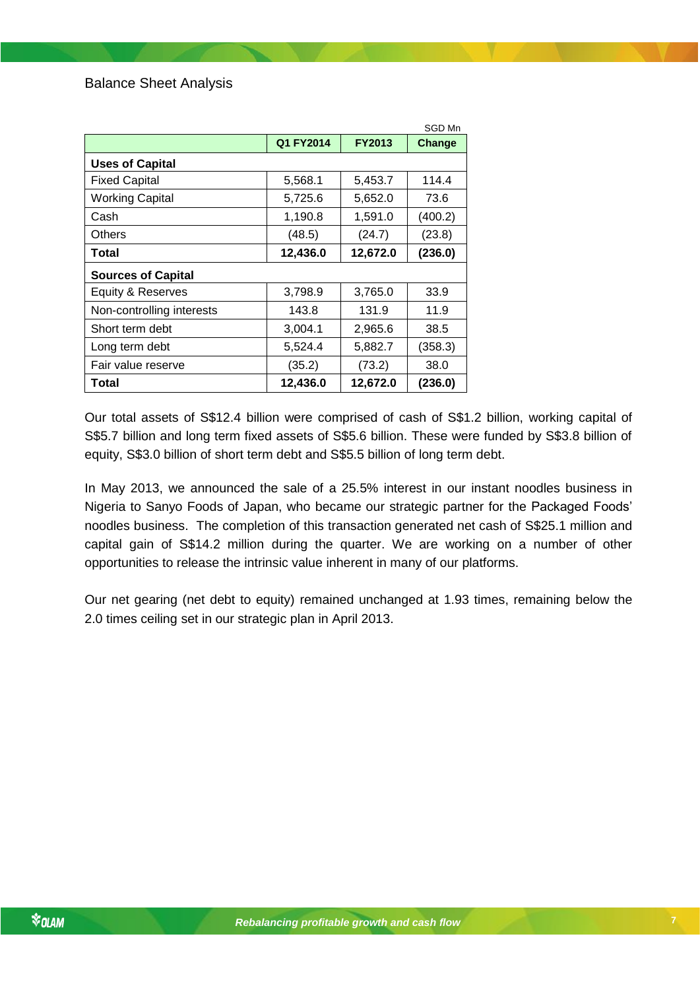<span id="page-6-0"></span>

|                           |           |               | SGD Mn  |
|---------------------------|-----------|---------------|---------|
|                           | Q1 FY2014 | <b>FY2013</b> | Change  |
| <b>Uses of Capital</b>    |           |               |         |
| <b>Fixed Capital</b>      | 5,568.1   | 5,453.7       | 114.4   |
| <b>Working Capital</b>    | 5,725.6   | 5,652.0       | 73.6    |
| Cash                      | 1,190.8   | 1,591.0       | (400.2) |
| Others                    | (48.5)    | (24.7)        | (23.8)  |
| Total                     | 12,436.0  | 12,672.0      | (236.0) |
| <b>Sources of Capital</b> |           |               |         |
| Equity & Reserves         | 3,798.9   | 3,765.0       | 33.9    |
| Non-controlling interests | 143.8     | 131.9         | 11.9    |
| Short term debt           | 3,004.1   | 2,965.6       | 38.5    |
| Long term debt            | 5,524.4   | 5,882.7       | (358.3) |
| Fair value reserve        | (35.2)    | (73.2)        | 38.0    |
| Total                     | 12,436.0  | 12,672.0      | (236.0) |

Our total assets of S\$12.4 billion were comprised of cash of S\$1.2 billion, working capital of S\$5.7 billion and long term fixed assets of S\$5.6 billion. These were funded by S\$3.8 billion of equity, S\$3.0 billion of short term debt and S\$5.5 billion of long term debt.

In May 2013, we announced the sale of a 25.5% interest in our instant noodles business in Nigeria to Sanyo Foods of Japan, who became our strategic partner for the Packaged Foods' noodles business. The completion of this transaction generated net cash of S\$25.1 million and capital gain of S\$14.2 million during the quarter. We are working on a number of other opportunities to release the intrinsic value inherent in many of our platforms.

*Rebalancing profitable growth and cash flow* Our net gearing (net debt to equity) remained unchanged at 1.93 times, remaining below the 2.0 times ceiling set in our strategic plan in April 2013.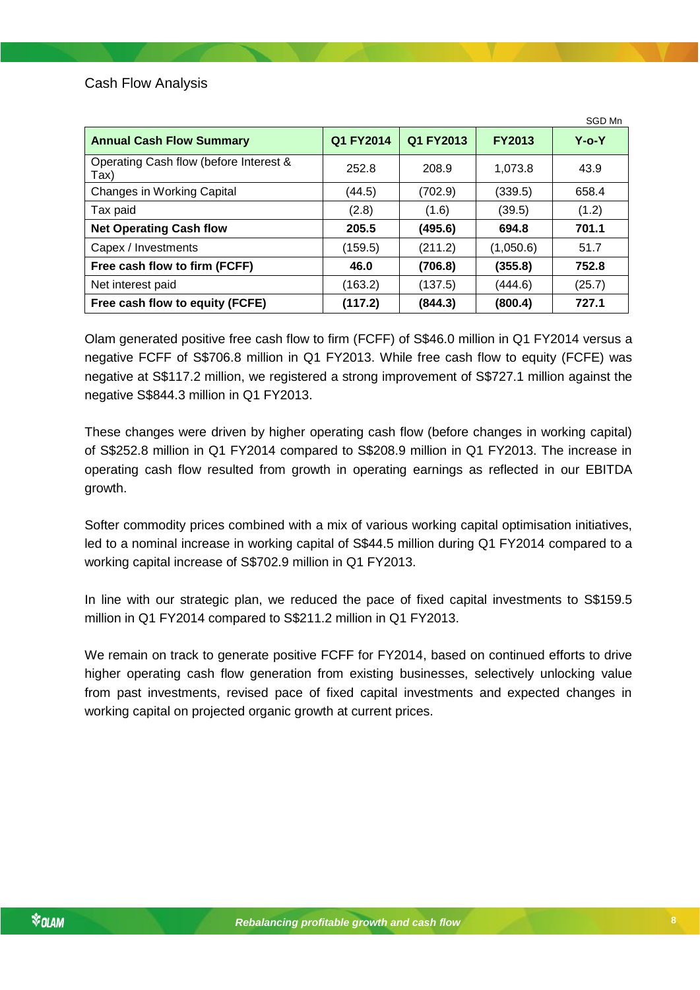<span id="page-7-0"></span>

| <b>Annual Cash Flow Summary</b>                | Q1 FY2014 | Q1 FY2013 | <b>FY2013</b> | $Y$ -o- $Y$ |
|------------------------------------------------|-----------|-----------|---------------|-------------|
| Operating Cash flow (before Interest &<br>Tax) | 252.8     | 208.9     | 1,073.8       | 43.9        |
| <b>Changes in Working Capital</b>              | (44.5)    | (702.9)   | (339.5)       | 658.4       |
| Tax paid                                       | (2.8)     | (1.6)     | (39.5)        | (1.2)       |
| <b>Net Operating Cash flow</b>                 | 205.5     | (495.6)   | 694.8         | 701.1       |
| Capex / Investments                            | (159.5)   | (211.2)   | (1,050.6)     | 51.7        |
| Free cash flow to firm (FCFF)                  | 46.0      | (706.8)   | (355.8)       | 752.8       |
| Net interest paid                              | (163.2)   | (137.5)   | (444.6)       | (25.7)      |
| Free cash flow to equity (FCFE)                | (117.2)   | (844.3)   | (800.4)       | 727.1       |

Olam generated positive free cash flow to firm (FCFF) of S\$46.0 million in Q1 FY2014 versus a negative FCFF of S\$706.8 million in Q1 FY2013. While free cash flow to equity (FCFE) was negative at S\$117.2 million, we registered a strong improvement of S\$727.1 million against the negative S\$844.3 million in Q1 FY2013.

These changes were driven by higher operating cash flow (before changes in working capital) of S\$252.8 million in Q1 FY2014 compared to S\$208.9 million in Q1 FY2013. The increase in operating cash flow resulted from growth in operating earnings as reflected in our EBITDA growth.

Softer commodity prices combined with a mix of various working capital optimisation initiatives, led to a nominal increase in working capital of S\$44.5 million during Q1 FY2014 compared to a working capital increase of S\$702.9 million in Q1 FY2013.

In line with our strategic plan, we reduced the pace of fixed capital investments to S\$159.5 million in Q1 FY2014 compared to S\$211.2 million in Q1 FY2013.

We remain on track to generate positive FCFF for FY2014, based on continued efforts to drive higher operating cash flow generation from existing businesses, selectively unlocking value from past investments, revised pace of fixed capital investments and expected changes in working capital on projected organic growth at current prices.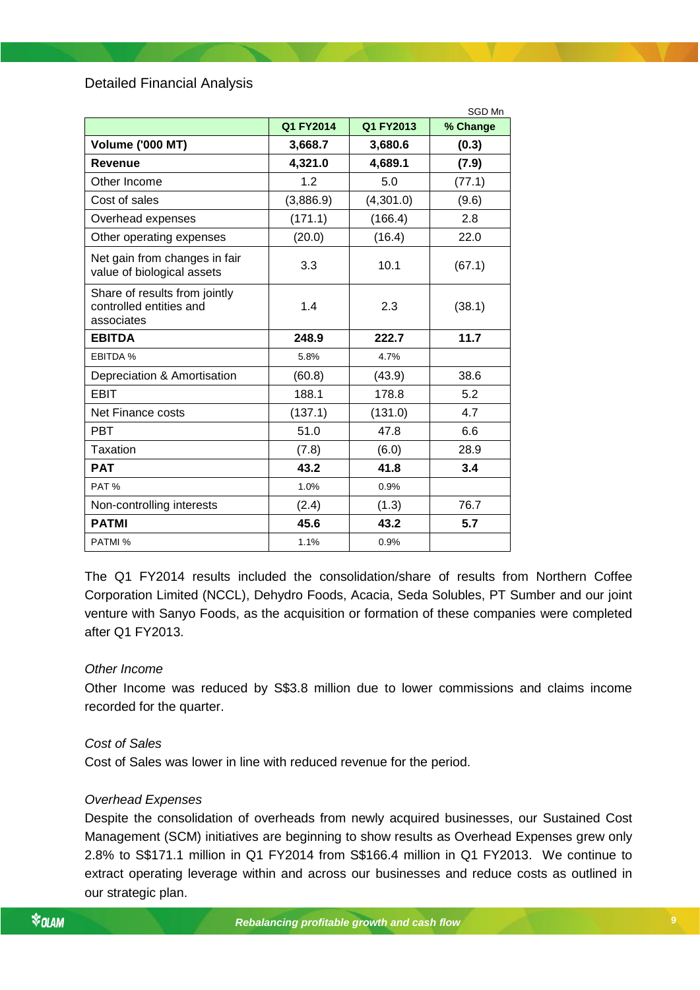<span id="page-8-0"></span>Detailed Financial Analysis

|                                                                        |           |           | SGD Mn   |
|------------------------------------------------------------------------|-----------|-----------|----------|
|                                                                        | Q1 FY2014 | Q1 FY2013 | % Change |
| <b>Volume ('000 MT)</b>                                                | 3,668.7   | 3,680.6   | (0.3)    |
| Revenue                                                                | 4,321.0   | 4,689.1   | (7.9)    |
| Other Income                                                           | 1.2       | 5.0       | (77.1)   |
| Cost of sales                                                          | (3,886.9) | (4,301.0) | (9.6)    |
| Overhead expenses                                                      | (171.1)   | (166.4)   | 2.8      |
| Other operating expenses                                               | (20.0)    | (16.4)    | 22.0     |
| Net gain from changes in fair<br>value of biological assets            | 3.3       | 10.1      | (67.1)   |
| Share of results from jointly<br>controlled entities and<br>associates | 1.4       | 2.3       | (38.1)   |
| <b>EBITDA</b>                                                          | 248.9     | 222.7     | 11.7     |
| <b>EBITDA %</b>                                                        | 5.8%      | 4.7%      |          |
| Depreciation & Amortisation                                            | (60.8)    | (43.9)    | 38.6     |
| <b>EBIT</b>                                                            | 188.1     | 178.8     | 5.2      |
| Net Finance costs                                                      | (137.1)   | (131.0)   | 4.7      |
| <b>PBT</b>                                                             | 51.0      | 47.8      | 6.6      |
| Taxation                                                               | (7.8)     | (6.0)     | 28.9     |
| <b>PAT</b>                                                             | 43.2      | 41.8      | 3.4      |
| PAT%                                                                   | 1.0%      | 0.9%      |          |
| Non-controlling interests                                              | (2.4)     | (1.3)     | 76.7     |
| <b>PATMI</b>                                                           | 45.6      | 43.2      | 5.7      |
| PATMI %                                                                | 1.1%      | 0.9%      |          |

The Q1 FY2014 results included the consolidation/share of results from Northern Coffee Corporation Limited (NCCL), Dehydro Foods, Acacia, Seda Solubles, PT Sumber and our joint venture with Sanyo Foods, as the acquisition or formation of these companies were completed after Q1 FY2013.

#### *Other Income*

Other Income was reduced by S\$3.8 million due to lower commissions and claims income recorded for the quarter.

#### *Cost of Sales*

Cost of Sales was lower in line with reduced revenue for the period.

#### *Overhead Expenses*

Despite the consolidation of overheads from newly acquired businesses, our Sustained Cost Management (SCM) initiatives are beginning to show results as Overhead Expenses grew only 2.8% to S\$171.1 million in Q1 FY2014 from S\$166.4 million in Q1 FY2013. We continue to extract operating leverage within and across our businesses and reduce costs as outlined in our strategic plan.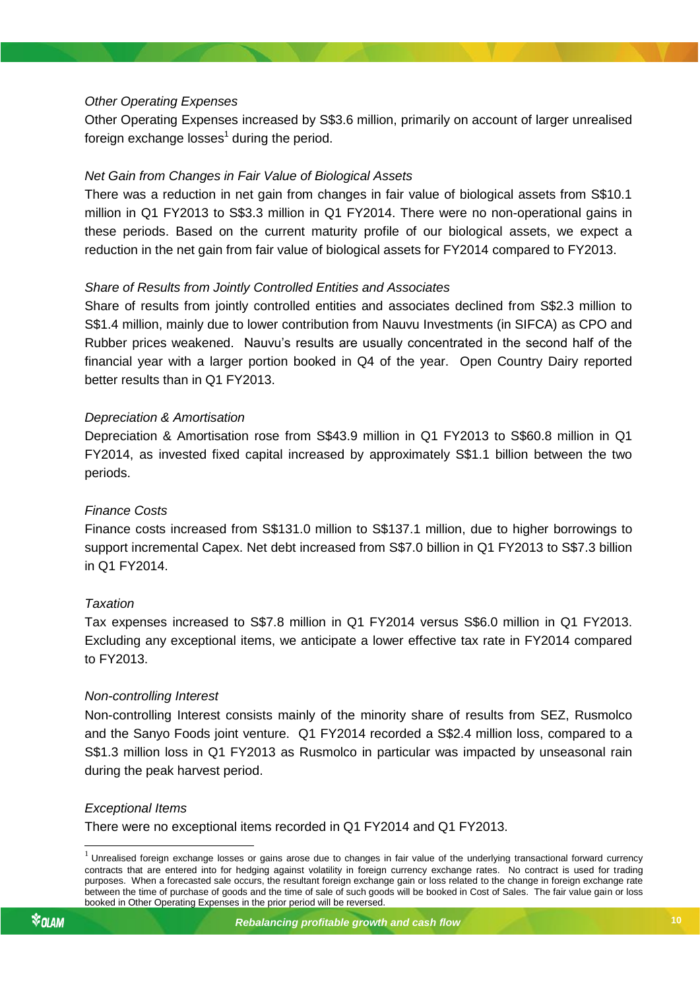# *Other Operating Expenses*

Other Operating Expenses increased by S\$3.6 million, primarily on account of larger unrealised foreign exchange losses $^1$  during the period.

## *Net Gain from Changes in Fair Value of Biological Assets*

There was a reduction in net gain from changes in fair value of biological assets from S\$10.1 million in Q1 FY2013 to S\$3.3 million in Q1 FY2014. There were no non-operational gains in these periods. Based on the current maturity profile of our biological assets, we expect a reduction in the net gain from fair value of biological assets for FY2014 compared to FY2013.

# *Share of Results from Jointly Controlled Entities and Associates*

Share of results from jointly controlled entities and associates declined from S\$2.3 million to S\$1.4 million, mainly due to lower contribution from Nauvu Investments (in SIFCA) as CPO and Rubber prices weakened. Nauvu's results are usually concentrated in the second half of the financial year with a larger portion booked in Q4 of the year. Open Country Dairy reported better results than in Q1 FY2013.

## *Depreciation & Amortisation*

Depreciation & Amortisation rose from S\$43.9 million in Q1 FY2013 to S\$60.8 million in Q1 FY2014, as invested fixed capital increased by approximately S\$1.1 billion between the two periods.

# *Finance Costs*

Finance costs increased from S\$131.0 million to S\$137.1 million, due to higher borrowings to support incremental Capex. Net debt increased from S\$7.0 billion in Q1 FY2013 to S\$7.3 billion in Q1 FY2014.

#### *Taxation*

*Rebalancing profitable growth and cash flow* Excluding any exceptional items, we anticipate a lower effective tax rate in FY2014 compared Tax expenses increased to S\$7.8 million in Q1 FY2014 versus S\$6.0 million in Q1 FY2013. to FY2013.

#### *Non-controlling Interest*

Non-controlling Interest consists mainly of the minority share of results from SEZ, Rusmolco and the Sanyo Foods joint venture. Q1 FY2014 recorded a S\$2.4 million loss, compared to a S\$1.3 million loss in Q1 FY2013 as Rusmolco in particular was impacted by unseasonal rain during the peak harvest period.

#### *Exceptional Items*

There were no exceptional items recorded in Q1 FY2014 and Q1 FY2013.

1

 $1$  Unrealised foreign exchange losses or gains arose due to changes in fair value of the underlying transactional forward currency contracts that are entered into for hedging against volatility in foreign currency exchange rates. No contract is used for trading purposes. When a forecasted sale occurs, the resultant foreign exchange gain or loss related to the change in foreign exchange rate between the time of purchase of goods and the time of sale of such goods will be booked in Cost of Sales. The fair value gain or loss booked in Other Operating Expenses in the prior period will be reversed.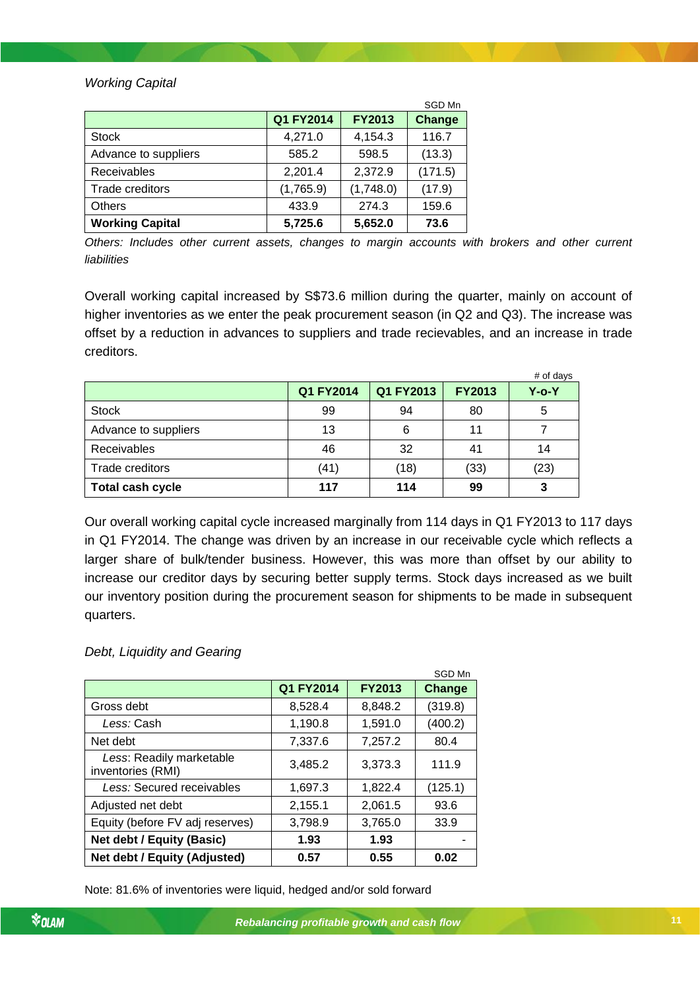# *Working Capital*

|                        |           |               | SGD Mn  |
|------------------------|-----------|---------------|---------|
|                        | Q1 FY2014 | <b>FY2013</b> | Change  |
| <b>Stock</b>           | 4,271.0   | 4,154.3       | 116.7   |
| Advance to suppliers   | 585.2     | 598.5         | (13.3)  |
| Receivables            | 2,201.4   | 2,372.9       | (171.5) |
| Trade creditors        | (1,765.9) | (1,748.0)     | (17.9)  |
| <b>Others</b>          | 433.9     | 274.3         | 159.6   |
| <b>Working Capital</b> | 5,725.6   | 5,652.0       | 73.6    |

*Others: Includes other current assets, changes to margin accounts with brokers and other current liabilities*

Overall working capital increased by S\$73.6 million during the quarter, mainly on account of higher inventories as we enter the peak procurement season (in Q2 and Q3). The increase was offset by a reduction in advances to suppliers and trade recievables, and an increase in trade creditors.

|                      |           |           |               | # of days   |
|----------------------|-----------|-----------|---------------|-------------|
|                      | Q1 FY2014 | Q1 FY2013 | <b>FY2013</b> | $Y$ -o- $Y$ |
| <b>Stock</b>         | 99        | 94        | 80            | 5           |
| Advance to suppliers | 13        | 6         | 11            |             |
| Receivables          | 46        | 32        | 41            | 14          |
| Trade creditors      | (41)      | (18)      | (33)          | (23)        |
| Total cash cycle     | 117       | 114       | 99            |             |

Our overall working capital cycle increased marginally from 114 days in Q1 FY2013 to 117 days in Q1 FY2014. The change was driven by an increase in our receivable cycle which reflects a larger share of bulk/tender business. However, this was more than offset by our ability to increase our creditor days by securing better supply terms. Stock days increased as we built our inventory position during the procurement season for shipments to be made in subsequent quarters.

# *Debt, Liquidity and Gearing*

|                                               |           |               | SGD Mn  |
|-----------------------------------------------|-----------|---------------|---------|
|                                               | Q1 FY2014 | <b>FY2013</b> | Change  |
| Gross debt                                    | 8.528.4   | 8.848.2       | (319.8) |
| Less: Cash                                    | 1,190.8   | 1,591.0       | (400.2) |
| Net debt                                      | 7,337.6   | 7,257.2       | 80.4    |
| Less: Readily marketable<br>inventories (RMI) | 3,485.2   | 3,373.3       | 111.9   |
| Less: Secured receivables                     | 1.697.3   | 1,822.4       | (125.1) |
| Adjusted net debt                             | 2,155.1   | 2,061.5       | 93.6    |
| Equity (before FV adj reserves)               | 3,798.9   | 3,765.0       | 33.9    |
| Net debt / Equity (Basic)                     | 1.93      | 1.93          |         |
| Net debt / Equity (Adjusted)                  | 0.57      | 0.55          | 0.02    |

Note: 81.6% of inventories were liquid, hedged and/or sold forward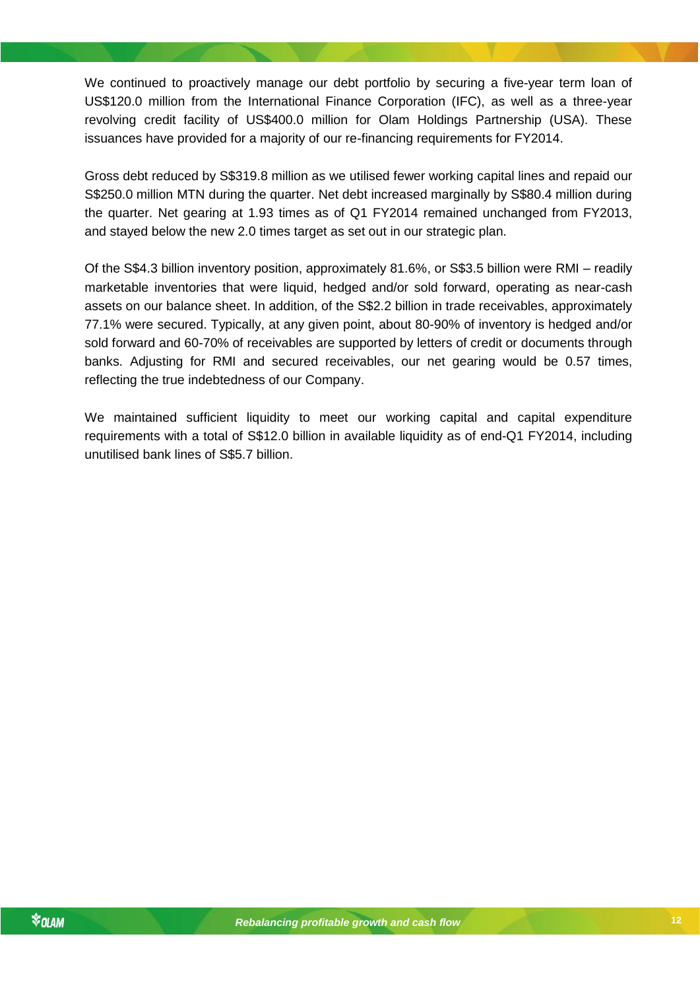We continued to proactively manage our debt portfolio by securing a five-year term loan of US\$120.0 million from the International Finance Corporation (IFC), as well as a three-year revolving credit facility of US\$400.0 million for Olam Holdings Partnership (USA). These issuances have provided for a majority of our re-financing requirements for FY2014.

Gross debt reduced by S\$319.8 million as we utilised fewer working capital lines and repaid our S\$250.0 million MTN during the quarter. Net debt increased marginally by S\$80.4 million during the quarter. Net gearing at 1.93 times as of Q1 FY2014 remained unchanged from FY2013, and stayed below the new 2.0 times target as set out in our strategic plan.

Of the S\$4.3 billion inventory position, approximately 81.6%, or S\$3.5 billion were RMI – readily marketable inventories that were liquid, hedged and/or sold forward, operating as near-cash assets on our balance sheet. In addition, of the S\$2.2 billion in trade receivables, approximately 77.1% were secured. Typically, at any given point, about 80-90% of inventory is hedged and/or sold forward and 60-70% of receivables are supported by letters of credit or documents through banks. Adjusting for RMI and secured receivables, our net gearing would be 0.57 times, reflecting the true indebtedness of our Company.

We maintained sufficient liquidity to meet our working capital and capital expenditure requirements with a total of S\$12.0 billion in available liquidity as of end-Q1 FY2014, including unutilised bank lines of S\$5.7 billion.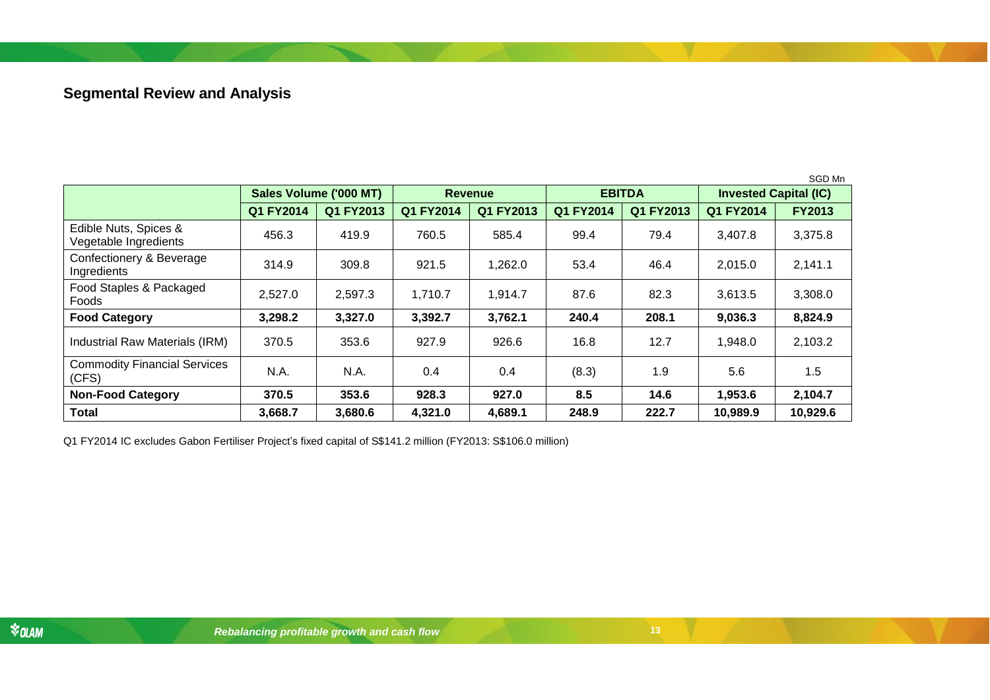# **Segmental Review and Analysis**

|                                                |                        |           |                |           |               |           |                              | SGD Mn        |
|------------------------------------------------|------------------------|-----------|----------------|-----------|---------------|-----------|------------------------------|---------------|
|                                                | Sales Volume ('000 MT) |           | <b>Revenue</b> |           | <b>EBITDA</b> |           | <b>Invested Capital (IC)</b> |               |
|                                                | Q1 FY2014              | Q1 FY2013 | Q1 FY2014      | Q1 FY2013 | Q1 FY2014     | Q1 FY2013 | Q1 FY2014                    | <b>FY2013</b> |
| Edible Nuts, Spices &<br>Vegetable Ingredients | 456.3                  | 419.9     | 760.5          | 585.4     | 99.4          | 79.4      | 3,407.8                      | 3,375.8       |
| Confectionery & Beverage<br>Ingredients        | 314.9                  | 309.8     | 921.5          | 1,262.0   | 53.4          | 46.4      | 2,015.0                      | 2,141.1       |
| Food Staples & Packaged<br>Foods               | 2,527.0                | 2,597.3   | 1,710.7        | 1,914.7   | 87.6          | 82.3      | 3,613.5                      | 3,308.0       |
| <b>Food Category</b>                           | 3,298.2                | 3,327.0   | 3,392.7        | 3,762.1   | 240.4         | 208.1     | 9,036.3                      | 8,824.9       |
| Industrial Raw Materials (IRM)                 | 370.5                  | 353.6     | 927.9          | 926.6     | 16.8          | 12.7      | 1,948.0                      | 2,103.2       |
| <b>Commodity Financial Services</b><br>(CFS)   | N.A.                   | N.A.      | 0.4            | 0.4       | (8.3)         | 1.9       | 5.6                          | 1.5           |
| <b>Non-Food Category</b>                       | 370.5                  | 353.6     | 928.3          | 927.0     | 8.5           | 14.6      | 1,953.6                      | 2,104.7       |
| <b>Total</b>                                   | 3,668.7                | 3,680.6   | 4,321.0        | 4,689.1   | 248.9         | 222.7     | 10,989.9                     | 10,929.6      |

<span id="page-12-0"></span>Q1 FY2014 IC excludes Gabon Fertiliser Project's fixed capital of S\$141.2 million (FY2013: S\$106.0 million)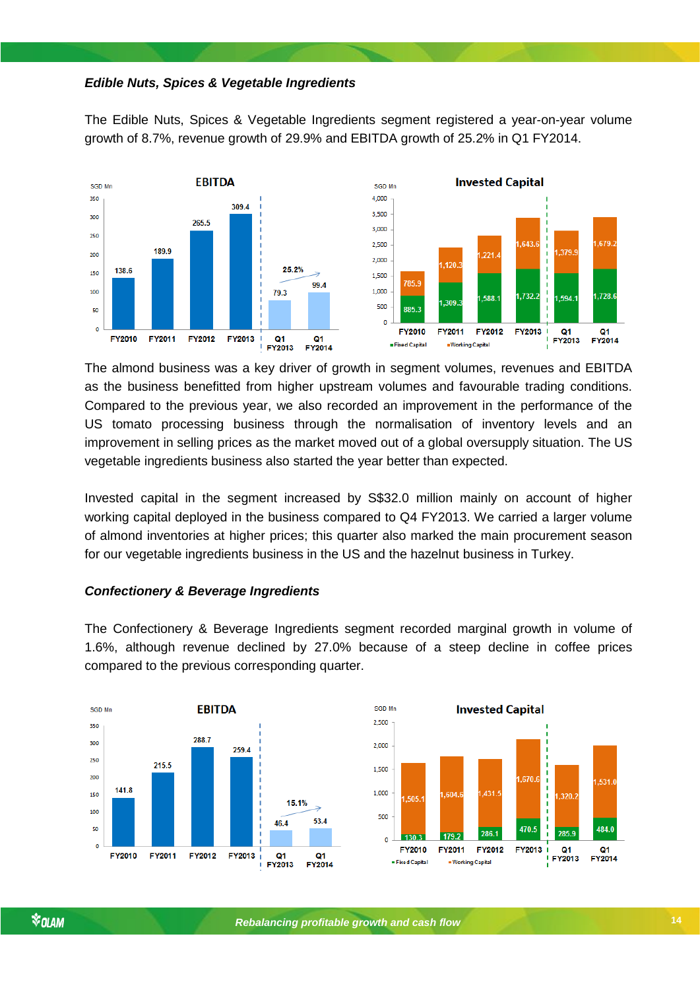## *Edible Nuts, Spices & Vegetable Ingredients*

The Edible Nuts, Spices & Vegetable Ingredients segment registered a year-on-year volume growth of 8.7%, revenue growth of 29.9% and EBITDA growth of 25.2% in Q1 FY2014.



The almond business was a key driver of growth in segment volumes, revenues and EBITDA as the business benefitted from higher upstream volumes and favourable trading conditions. Compared to the previous year, we also recorded an improvement in the performance of the US tomato processing business through the normalisation of inventory levels and an improvement in selling prices as the market moved out of a global oversupply situation. The US vegetable ingredients business also started the year better than expected.

Invested capital in the segment increased by S\$32.0 million mainly on account of higher working capital deployed in the business compared to Q4 FY2013. We carried a larger volume of almond inventories at higher prices; this quarter also marked the main procurement season for our vegetable ingredients business in the US and the hazelnut business in Turkey.

#### *Confectionery & Beverage Ingredients*

The Confectionery & Beverage Ingredients segment recorded marginal growth in volume of 1.6%, although revenue declined by 27.0% because of a steep decline in coffee prices compared to the previous corresponding quarter.

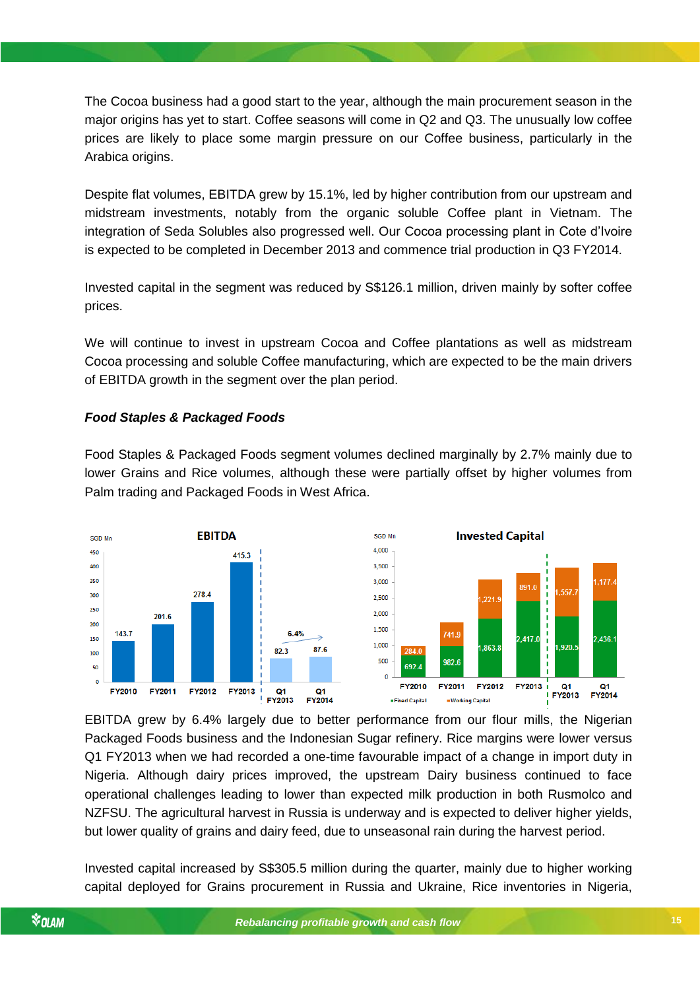The Cocoa business had a good start to the year, although the main procurement season in the major origins has yet to start. Coffee seasons will come in Q2 and Q3. The unusually low coffee prices are likely to place some margin pressure on our Coffee business, particularly in the Arabica origins.

Despite flat volumes, EBITDA grew by 15.1%, led by higher contribution from our upstream and midstream investments, notably from the organic soluble Coffee plant in Vietnam. The integration of Seda Solubles also progressed well. Our Cocoa processing plant in Cote d'Ivoire is expected to be completed in December 2013 and commence trial production in Q3 FY2014.

Invested capital in the segment was reduced by S\$126.1 million, driven mainly by softer coffee prices.

We will continue to invest in upstream Cocoa and Coffee plantations as well as midstream Cocoa processing and soluble Coffee manufacturing, which are expected to be the main drivers of EBITDA growth in the segment over the plan period.

# *Food Staples & Packaged Foods*

Food Staples & Packaged Foods segment volumes declined marginally by 2.7% mainly due to lower Grains and Rice volumes, although these were partially offset by higher volumes from Palm trading and Packaged Foods in West Africa.



EBITDA grew by 6.4% largely due to better performance from our flour mills, the Nigerian Packaged Foods business and the Indonesian Sugar refinery. Rice margins were lower versus Q1 FY2013 when we had recorded a one-time favourable impact of a change in import duty in Nigeria. Although dairy prices improved, the upstream Dairy business continued to face operational challenges leading to lower than expected milk production in both Rusmolco and NZFSU. The agricultural harvest in Russia is underway and is expected to deliver higher yields, but lower quality of grains and dairy feed, due to unseasonal rain during the harvest period.

Invested capital increased by S\$305.5 million during the quarter, mainly due to higher working capital deployed for Grains procurement in Russia and Ukraine, Rice inventories in Nigeria,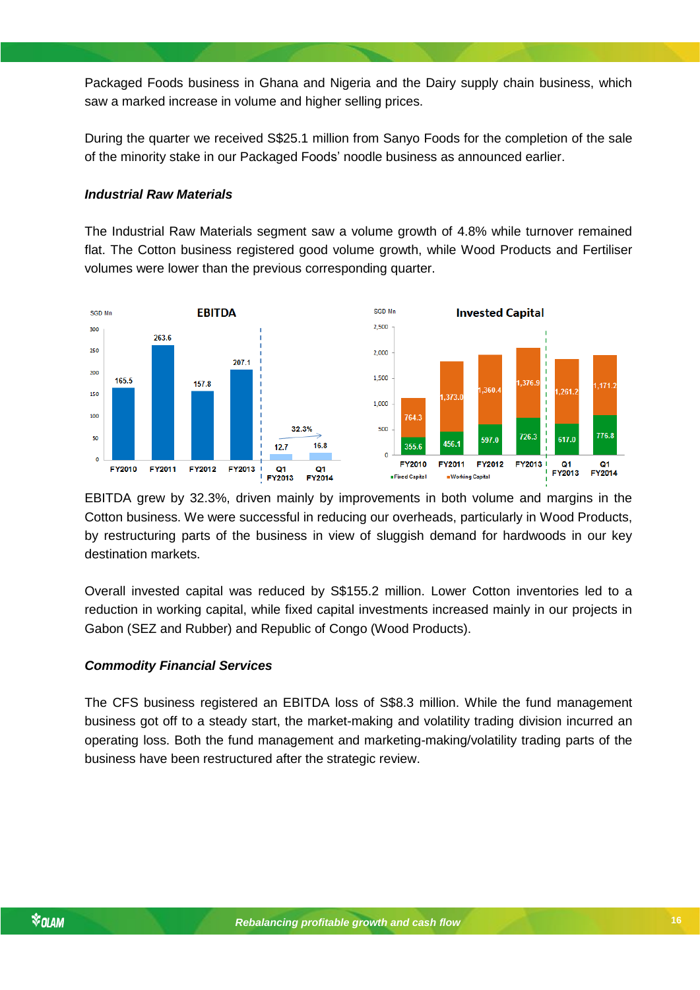Packaged Foods business in Ghana and Nigeria and the Dairy supply chain business, which saw a marked increase in volume and higher selling prices.

During the quarter we received S\$25.1 million from Sanyo Foods for the completion of the sale of the minority stake in our Packaged Foods' noodle business as announced earlier.

#### *Industrial Raw Materials*

The Industrial Raw Materials segment saw a volume growth of 4.8% while turnover remained flat. The Cotton business registered good volume growth, while Wood Products and Fertiliser volumes were lower than the previous corresponding quarter.



EBITDA grew by 32.3%, driven mainly by improvements in both volume and margins in the Cotton business. We were successful in reducing our overheads, particularly in Wood Products, by restructuring parts of the business in view of sluggish demand for hardwoods in our key destination markets.

*Rebalancing profitable growth and cash flow* Gabon (SEZ and Rubber) and Republic of Congo (Wood Products). Overall invested capital was reduced by S\$155.2 million. Lower Cotton inventories led to a reduction in working capital, while fixed capital investments increased mainly in our projects in

#### *Commodity Financial Services*

The CFS business registered an EBITDA loss of S\$8.3 million. While the fund management business got off to a steady start, the market-making and volatility trading division incurred an operating loss. Both the fund management and marketing-making/volatility trading parts of the business have been restructured after the strategic review.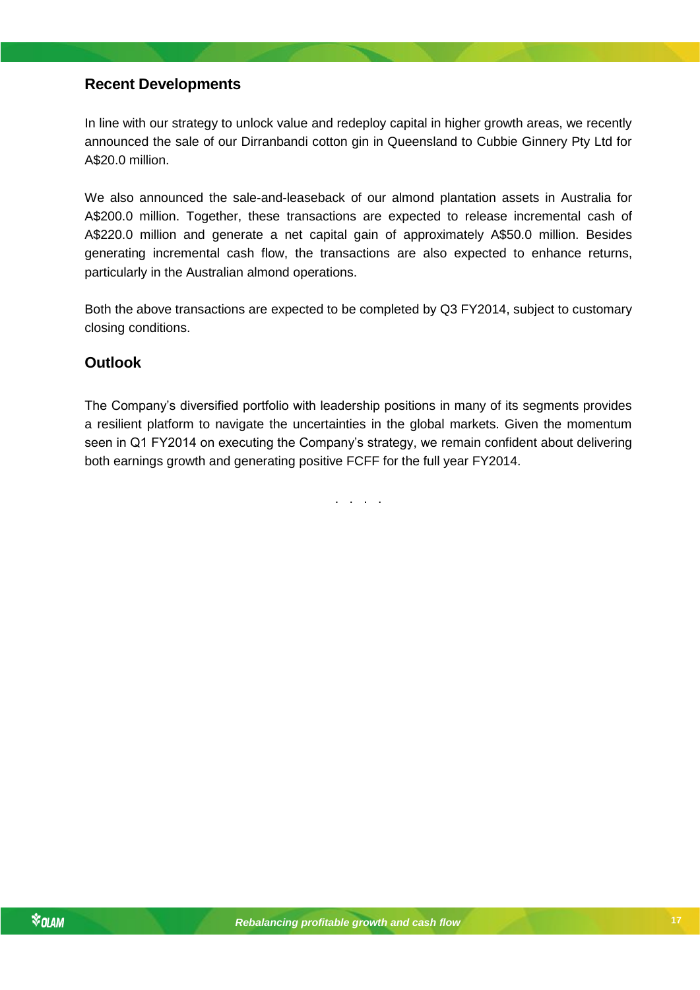# <span id="page-16-0"></span>**Recent Developments**

In line with our strategy to unlock value and redeploy capital in higher growth areas, we recently announced the sale of our Dirranbandi cotton gin in Queensland to Cubbie Ginnery Pty Ltd for A\$20.0 million.

We also announced the sale-and-leaseback of our almond plantation assets in Australia for A\$200.0 million. Together, these transactions are expected to release incremental cash of A\$220.0 million and generate a net capital gain of approximately A\$50.0 million. Besides generating incremental cash flow, the transactions are also expected to enhance returns, particularly in the Australian almond operations.

Both the above transactions are expected to be completed by Q3 FY2014, subject to customary closing conditions.

# <span id="page-16-1"></span>**Outlook**

The Company's diversified portfolio with leadership positions in many of its segments provides a resilient platform to navigate the uncertainties in the global markets. Given the momentum seen in Q1 FY2014 on executing the Company's strategy, we remain confident about delivering both earnings growth and generating positive FCFF for the full year FY2014.

. . . .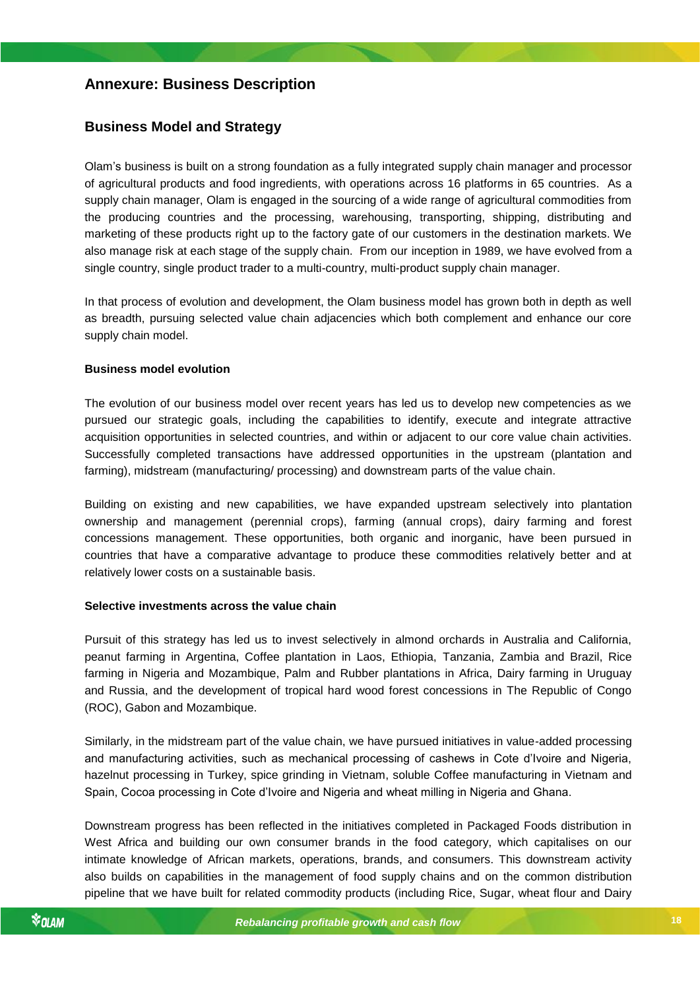# <span id="page-17-0"></span>**Annexure: Business Description**

# <span id="page-17-1"></span>**Business Model and Strategy**

Olam's business is built on a strong foundation as a fully integrated supply chain manager and processor of agricultural products and food ingredients, with operations across 16 platforms in 65 countries. As a supply chain manager, Olam is engaged in the sourcing of a wide range of agricultural commodities from the producing countries and the processing, warehousing, transporting, shipping, distributing and marketing of these products right up to the factory gate of our customers in the destination markets. We also manage risk at each stage of the supply chain. From our inception in 1989, we have evolved from a single country, single product trader to a multi-country, multi-product supply chain manager.

In that process of evolution and development, the Olam business model has grown both in depth as well as breadth, pursuing selected value chain adjacencies which both complement and enhance our core supply chain model.

#### **Business model evolution**

The evolution of our business model over recent years has led us to develop new competencies as we pursued our strategic goals, including the capabilities to identify, execute and integrate attractive acquisition opportunities in selected countries, and within or adjacent to our core value chain activities. Successfully completed transactions have addressed opportunities in the upstream (plantation and farming), midstream (manufacturing/ processing) and downstream parts of the value chain.

Building on existing and new capabilities, we have expanded upstream selectively into plantation ownership and management (perennial crops), farming (annual crops), dairy farming and forest concessions management. These opportunities, both organic and inorganic, have been pursued in countries that have a comparative advantage to produce these commodities relatively better and at relatively lower costs on a sustainable basis.

#### **Selective investments across the value chain**

*Rebalancing profitable growth and cash flow* Pursuit of this strategy has led us to invest selectively in almond orchards in Australia and California, peanut farming in Argentina, Coffee plantation in Laos, Ethiopia, Tanzania, Zambia and Brazil, Rice farming in Nigeria and Mozambique, Palm and Rubber plantations in Africa, Dairy farming in Uruguay and Russia, and the development of tropical hard wood forest concessions in The Republic of Congo (ROC), Gabon and Mozambique.

Similarly, in the midstream part of the value chain, we have pursued initiatives in value-added processing and manufacturing activities, such as mechanical processing of cashews in Cote d'Ivoire and Nigeria, hazelnut processing in Turkey, spice grinding in Vietnam, soluble Coffee manufacturing in Vietnam and Spain, Cocoa processing in Cote d'Ivoire and Nigeria and wheat milling in Nigeria and Ghana.

Downstream progress has been reflected in the initiatives completed in Packaged Foods distribution in West Africa and building our own consumer brands in the food category, which capitalises on our intimate knowledge of African markets, operations, brands, and consumers. This downstream activity also builds on capabilities in the management of food supply chains and on the common distribution pipeline that we have built for related commodity products (including Rice, Sugar, wheat flour and Dairy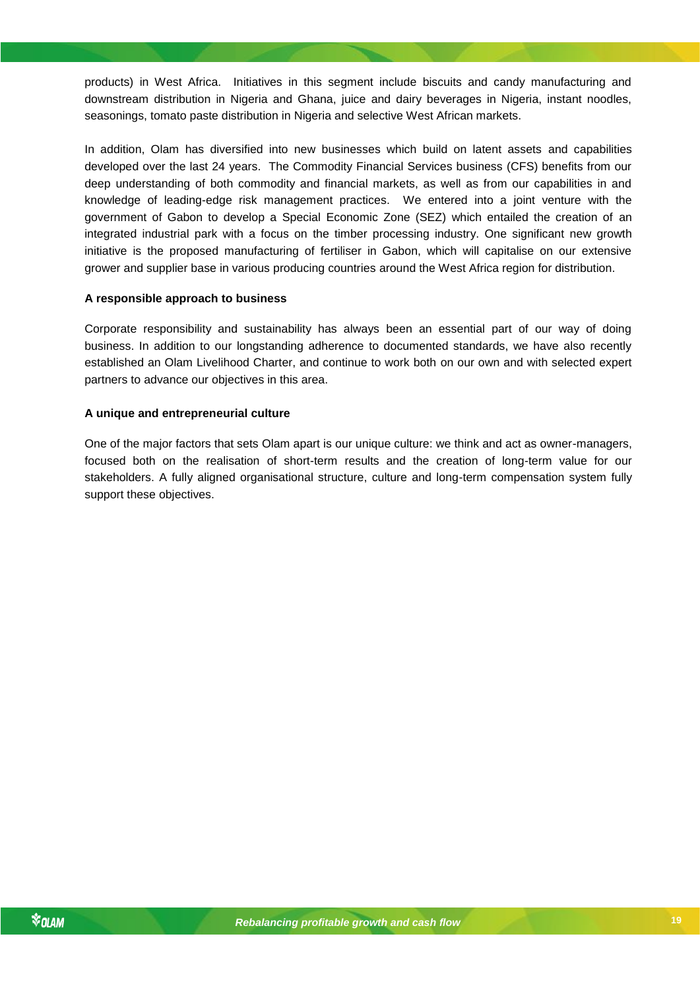products) in West Africa. Initiatives in this segment include biscuits and candy manufacturing and downstream distribution in Nigeria and Ghana, juice and dairy beverages in Nigeria, instant noodles, seasonings, tomato paste distribution in Nigeria and selective West African markets.

In addition, Olam has diversified into new businesses which build on latent assets and capabilities developed over the last 24 years. The Commodity Financial Services business (CFS) benefits from our deep understanding of both commodity and financial markets, as well as from our capabilities in and knowledge of leading-edge risk management practices. We entered into a joint venture with the government of Gabon to develop a Special Economic Zone (SEZ) which entailed the creation of an integrated industrial park with a focus on the timber processing industry. One significant new growth initiative is the proposed manufacturing of fertiliser in Gabon, which will capitalise on our extensive grower and supplier base in various producing countries around the West Africa region for distribution.

#### **A responsible approach to business**

Corporate responsibility and sustainability has always been an essential part of our way of doing business. In addition to our longstanding adherence to documented standards, we have also recently established an Olam Livelihood Charter, and continue to work both on our own and with selected expert partners to advance our objectives in this area.

#### **A unique and entrepreneurial culture**

One of the major factors that sets Olam apart is our unique culture: we think and act as owner-managers, focused both on the realisation of short-term results and the creation of long-term value for our stakeholders. A fully aligned organisational structure, culture and long-term compensation system fully support these objectives.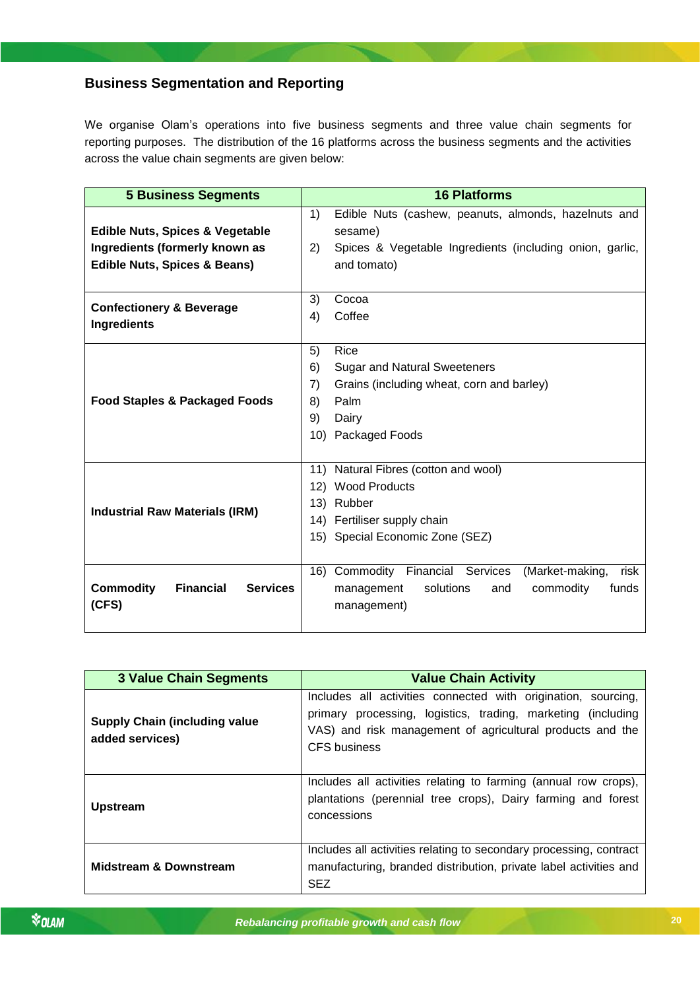# <span id="page-19-0"></span>**Business Segmentation and Reporting**

We organise Olam's operations into five business segments and three value chain segments for reporting purposes. The distribution of the 16 platforms across the business segments and the activities across the value chain segments are given below:

| <b>5 Business Segments</b>                              | <b>16 Platforms</b>                                               |  |  |  |
|---------------------------------------------------------|-------------------------------------------------------------------|--|--|--|
|                                                         | 1)<br>Edible Nuts (cashew, peanuts, almonds, hazelnuts and        |  |  |  |
| <b>Edible Nuts, Spices &amp; Vegetable</b>              | sesame)                                                           |  |  |  |
| Ingredients (formerly known as                          | 2)<br>Spices & Vegetable Ingredients (including onion, garlic,    |  |  |  |
| <b>Edible Nuts, Spices &amp; Beans)</b>                 | and tomato)                                                       |  |  |  |
|                                                         |                                                                   |  |  |  |
| <b>Confectionery &amp; Beverage</b>                     | 3)<br>Cocoa                                                       |  |  |  |
| Ingredients                                             | Coffee<br>4)                                                      |  |  |  |
|                                                         |                                                                   |  |  |  |
|                                                         | 5)<br>Rice                                                        |  |  |  |
|                                                         | 6)<br><b>Sugar and Natural Sweeteners</b>                         |  |  |  |
|                                                         | 7)<br>Grains (including wheat, corn and barley)                   |  |  |  |
| <b>Food Staples &amp; Packaged Foods</b>                | Palm                                                              |  |  |  |
|                                                         | 9)<br>Dairy                                                       |  |  |  |
|                                                         | 10) Packaged Foods                                                |  |  |  |
|                                                         |                                                                   |  |  |  |
|                                                         | 11) Natural Fibres (cotton and wool)                              |  |  |  |
|                                                         | 12) Wood Products                                                 |  |  |  |
| <b>Industrial Raw Materials (IRM)</b>                   | 13) Rubber                                                        |  |  |  |
|                                                         | 14) Fertiliser supply chain                                       |  |  |  |
|                                                         | 15) Special Economic Zone (SEZ)                                   |  |  |  |
|                                                         |                                                                   |  |  |  |
|                                                         | 16) Commodity<br>Financial<br>(Market-making,<br>Services<br>risk |  |  |  |
| <b>Commodity</b><br><b>Financial</b><br><b>Services</b> | solutions<br>commodity<br>management<br>and<br>funds              |  |  |  |
| (CFS)                                                   | management)                                                       |  |  |  |
|                                                         |                                                                   |  |  |  |

| <b>3 Value Chain Segments</b>                           | <b>Value Chain Activity</b>                                                                                                                                                                                |
|---------------------------------------------------------|------------------------------------------------------------------------------------------------------------------------------------------------------------------------------------------------------------|
| <b>Supply Chain (including value</b><br>added services) | Includes all activities connected with origination, sourcing,<br>primary processing, logistics, trading, marketing (including<br>VAS) and risk management of agricultural products and the<br>CFS business |
| <b>Upstream</b>                                         | Includes all activities relating to farming (annual row crops),<br>plantations (perennial tree crops), Dairy farming and forest<br>concessions                                                             |
| <b>Midstream &amp; Downstream</b>                       | Includes all activities relating to secondary processing, contract<br>manufacturing, branded distribution, private label activities and<br><b>SEZ</b>                                                      |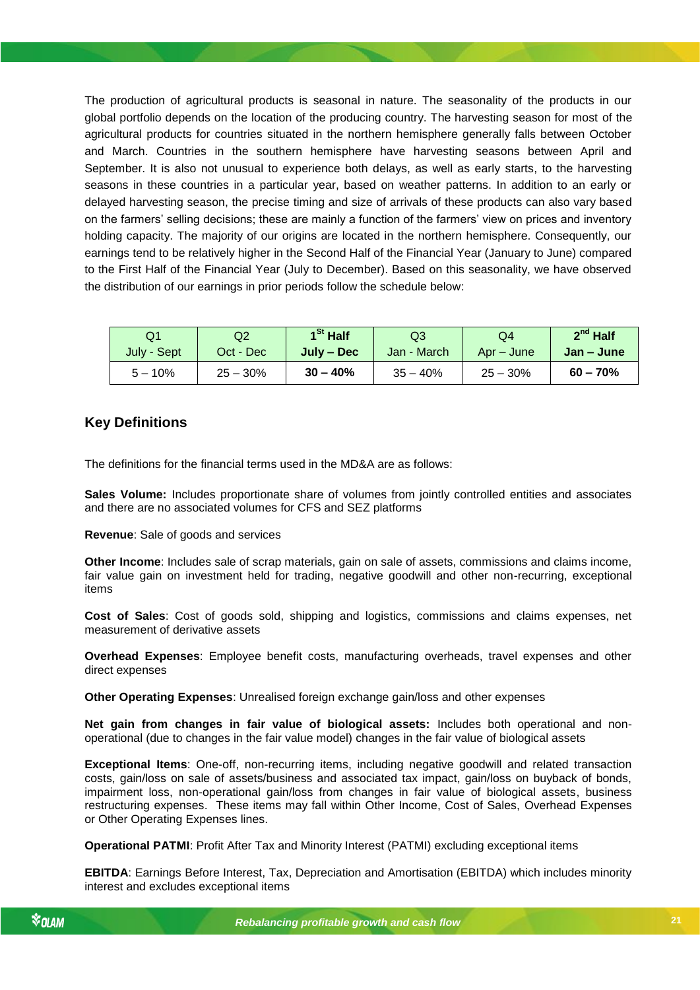The production of agricultural products is seasonal in nature. The seasonality of the products in our global portfolio depends on the location of the producing country. The harvesting season for most of the agricultural products for countries situated in the northern hemisphere generally falls between October and March. Countries in the southern hemisphere have harvesting seasons between April and September. It is also not unusual to experience both delays, as well as early starts, to the harvesting seasons in these countries in a particular year, based on weather patterns. In addition to an early or delayed harvesting season, the precise timing and size of arrivals of these products can also vary based on the farmers' selling decisions; these are mainly a function of the farmers' view on prices and inventory holding capacity. The majority of our origins are located in the northern hemisphere. Consequently, our earnings tend to be relatively higher in the Second Half of the Financial Year (January to June) compared to the First Half of the Financial Year (July to December). Based on this seasonality, we have observed the distribution of our earnings in prior periods follow the schedule below:

| Q1          | Q2         | $1St$ Half | Q3          | Q4         | $2^{nd}$ Half |
|-------------|------------|------------|-------------|------------|---------------|
| July - Sept | Oct - Dec  | July – Dec | Jan - March | Apr – June | Jan – June    |
| $5 - 10\%$  | $25 - 30%$ | $30 - 40%$ | $35 - 40%$  | $25 - 30%$ | $60 - 70%$    |

# <span id="page-20-0"></span>**Key Definitions**

The definitions for the financial terms used in the MD&A are as follows:

**Sales Volume:** Includes proportionate share of volumes from jointly controlled entities and associates and there are no associated volumes for CFS and SEZ platforms

**Revenue**: Sale of goods and services

**Other Income**: Includes sale of scrap materials, gain on sale of assets, commissions and claims income, fair value gain on investment held for trading, negative goodwill and other non-recurring, exceptional items

*Rebalancing profitable growth and cash flow* measurement of derivative assets **Cost of Sales**: Cost of goods sold, shipping and logistics, commissions and claims expenses, net

**Overhead Expenses**: Employee benefit costs, manufacturing overheads, travel expenses and other direct expenses

**Other Operating Expenses**: Unrealised foreign exchange gain/loss and other expenses

**Net gain from changes in fair value of biological assets:** Includes both operational and nonoperational (due to changes in the fair value model) changes in the fair value of biological assets

**Exceptional Items**: One-off, non-recurring items, including negative goodwill and related transaction costs, gain/loss on sale of assets/business and associated tax impact, gain/loss on buyback of bonds, impairment loss, non-operational gain/loss from changes in fair value of biological assets, business restructuring expenses. These items may fall within Other Income, Cost of Sales, Overhead Expenses or Other Operating Expenses lines.

**Operational PATMI**: Profit After Tax and Minority Interest (PATMI) excluding exceptional items

**EBITDA**: Earnings Before Interest, Tax, Depreciation and Amortisation (EBITDA) which includes minority interest and excludes exceptional items